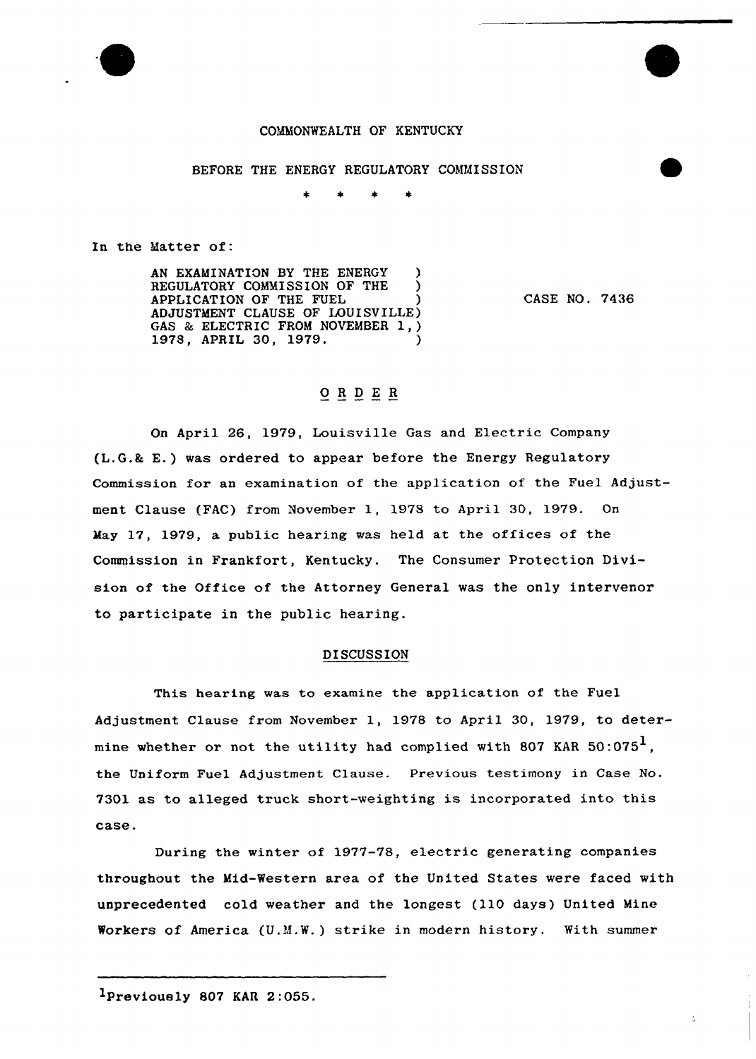

### COMMONWEALTH OF KENTUCKY

#### BEFORE THE ENERGY REGULATORY COMMISSION

In the Matter of:

AN EXAMINATION BY THE ENERGY REGULATORY COMMISSION OF THE APPLICATION OF THE FUEL ) ADJUSTMENT CLAUSE OF LOUISVILLE) GAS & ELECTRIC FROM NOVEMBER 1, ) 1978, APRIL 30, 1979.

CASE NO. 7436

# ORDER

On April 26, 1979, Louisville Gas and Electric Company (L.G.& E.) was ordered to appear before the Energy Regulatory Commission for an examination of the application of the Fuel Adjustment Clause (FAC) from November 1, 1978 to April 30, 1979. On May 17, 1979, a public hearing was held at the offices of the Commission in Frankfort, Kentucky. The Consumer Protection Division of the Office of the Attorney General was the only intervenor to participate in the public hearing.

### DISCUSSION

This hearing was to examine the application of the Fuel Adjustment Clause from Novembex 1, 1978 to April 30, 1979, to determine whether or not the utility had complied with 807 KAR  $50:075<sup>1</sup>$ , the Uniform Fuel Adjustment Clause. Previous testimony in Case No. 7301 as to alleged truck short-weighting is incorporated into this case.

During the winter of 1977-78, electric generating companies throughout the Mid-Western area of the United States were faced with unprecedented cold weather and the longest (110 days) United Mine Workers of America (U.M.W.) strike in modern history. With summer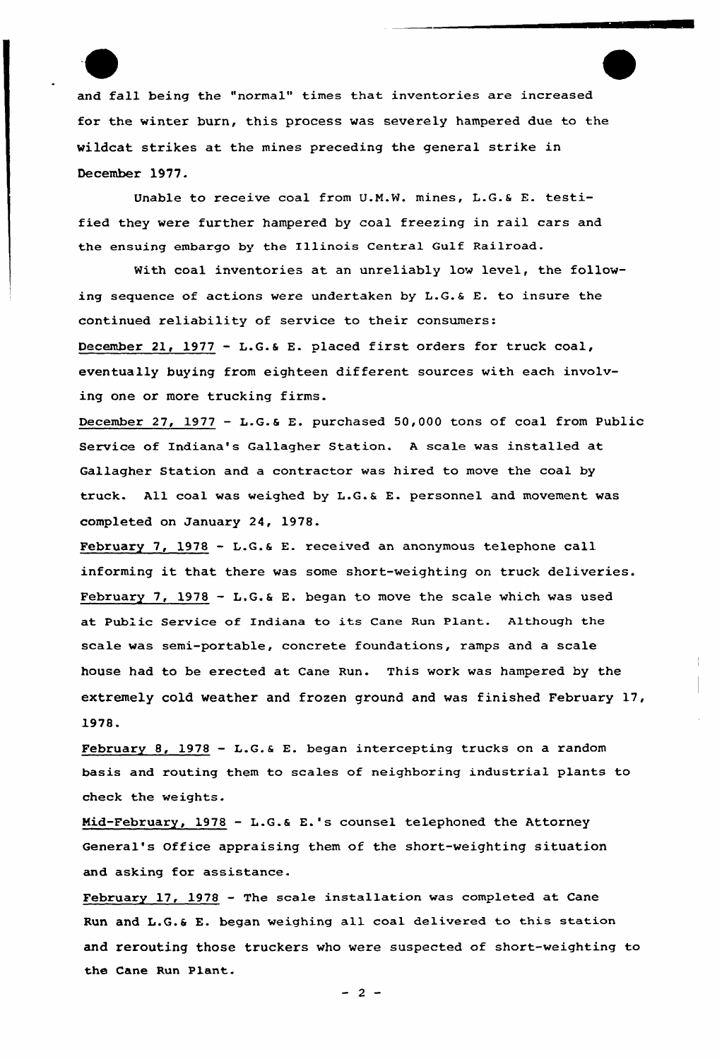and fall being the "normal" times that inventories are increased for the winter burn, this process was severely hampered due to the wildcat strikes at the mines preceding the general strike in December 1977.

Unable to receive coal from U.N.W. mines, L.G.6 E. testified they were further hampered by coal freezing in rail cars and the ensuing embargo by the Illinois Central Gulf Railroad.

With coal inventories at an unreliably low level, the following sequence of actions were undertaken by L.G.& E. to insure the continued reliability of service to their consumers: December 21, 1977 — L.G.b E. placed first orders for truck coal, eventually buying from eighteen different sources with each involving one or more trucking firms.

December 27, 1977 — L.G.6 E. purchased 50,000 tons of coal from Public Service of Indiana's Gallagher Station. <sup>A</sup> scale was installed at Gallagher Station and a contractor was hired to move the coal by truck. All coa1 was weighed by L.G.6 E. personnel and movement was completed on January 24, 1978.

February 7, 1978 — L.G.6 E. received an anonymous telephone call informing it that there was some short-weighting on truck deliveries. February 7, 1978 - L.G.& E. began to move the scale which was used at Public Service of Indiana to its Cane Run Plant. Although the scale was semi-portable, concrete foundations, ramps and a scale house had to be erected at Cane Run. This work was hampered by the extremely cold weather and frozen ground and was finished February 17, 1978.

February 8, 1978 — L.G.6 E. began intercepting trucks on a random basis and routing them to scales of neighboring industrial plants to check the weights.

Mid-February, <sup>1978</sup> — L.G.a E.'s counsel telephoned the Attorney General's Office appraising them of the short-weighting situation and asking for assistance.

February 17, 1978 — The scale installation was completed at Cane Run and L.G.& E. began weighing all coal delivered to this station and rerouting those truckers who were suspected of short-weighting to the Cane Run Plant.

 $-2-$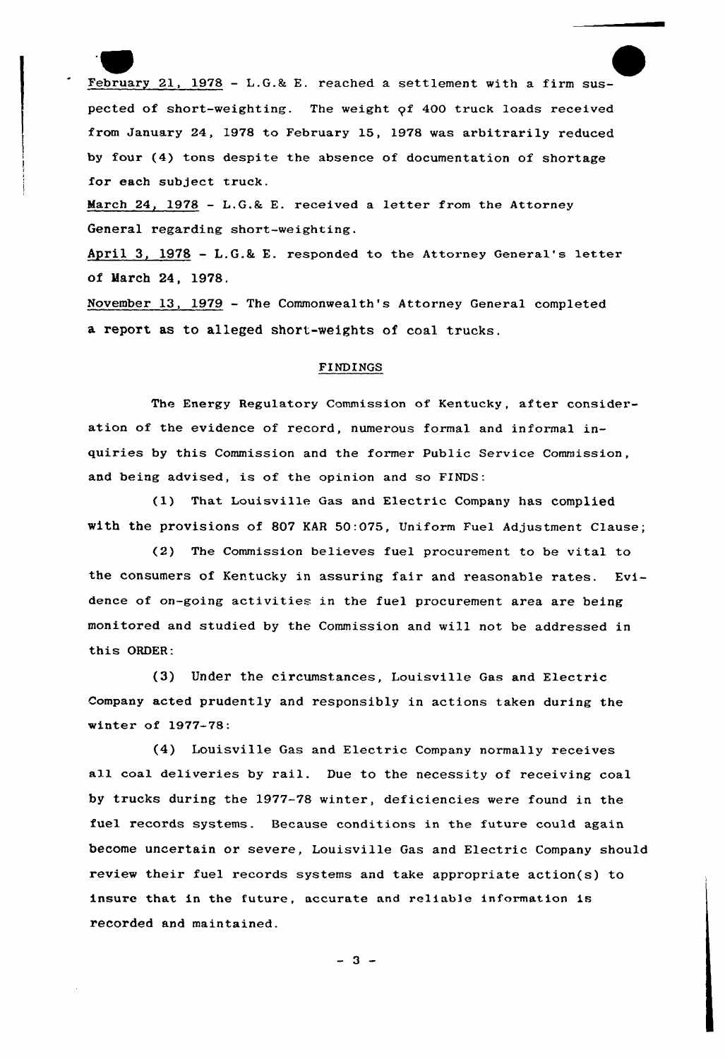February 21, 1978 - L.G.& E. reached a settlement with a firm suspected of short-weighting. The weight qf 400 truck loads received from January 24, 1978 to February 15, 1978 was arbitrarily reduced by four (4) tons despite the absence of documentation of shortage for each subject truck.

March 24, 1978 - L.G.& E. received a letter from the Attorney General regarding short-weighting.

April 3, 1978 -  $L.G.k E.$  responded to the Attorney General's letter of March 24, 1978.

November 13, 1979 — The Commonwealth's Attorney General completed a report as to alleged short-weights of coal trucks.

## FINDINGS

The Energy Regulatory Commission of Kentucky, after consideration of the evidence of record, numerous formal and informal inquiries by this Commission and the former Public Service Commission, and being advised, is of the opinion and so FINDS:

(1) That Louisville Gas and Electric Company has complied with the provisions of 807 KAR 50:075, Uniform Fuel Adjustment Clause;

(2) The Commission believes fuel procurement to be vital to the consumexs of Kentucky in assuring fair and reasonable rates. Evidence of on-going activities in the fuel procurement area are being monitored and studied by the Commission and will not be addressed in this ORDER:

(3) Under the circumstances, Louisville Gas and Electric Company acted prudently and responsibly in actions taken during the winter of 1977-78;

(4) Louisville Gas and Electric Company normally receives a11 coal deliveries by rail. Due to the necessity of receiving coal by trucks during the 1977-78 winter, deficiencies were found in the fuel records systems. Because conditions in the future could again become uncertain or severe, Louisville Gas and Electric Company should review their fuel records systems and take appropriate action(s) to insure that in the future, accurate and reliable information is recorded and maintained.

 $-3 -$